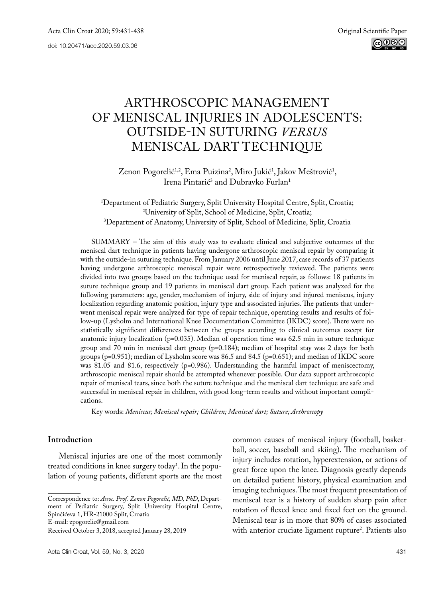# ARTHROSCOPIC MANAGEMENT OF MENISCAL INJURIES IN ADOLESCENTS: OUTSIDE-IN SUTURING *VERSUS* MENISCAL DART TECHNIQUE

Zenon Pogorelić<sup>1,2</sup>, Ema Puizina<sup>2</sup>, Miro Jukić<sup>1</sup>, Jakov Meštrović<sup>1</sup>, Irena Pintarić<sup>3</sup> and Dubravko Furlan<sup>1</sup>

1 Department of Pediatric Surgery, Split University Hospital Centre, Split, Croatia; 2 University of Split, School of Medicine, Split, Croatia; 3 Department of Anatomy, University of Split, School of Medicine, Split, Croatia

SUMMARY – The aim of this study was to evaluate clinical and subjective outcomes of the meniscal dart technique in patients having undergone arthroscopic meniscal repair by comparing it with the outside-in suturing technique. From January 2006 until June 2017, case records of 37 patients having undergone arthroscopic meniscal repair were retrospectively reviewed. The patients were divided into two groups based on the technique used for meniscal repair, as follows: 18 patients in suture technique group and 19 patients in meniscal dart group. Each patient was analyzed for the following parameters: age, gender, mechanism of injury, side of injury and injured meniscus, injury localization regarding anatomic position, injury type and associated injuries. The patients that underwent meniscal repair were analyzed for type of repair technique, operating results and results of follow-up (Lysholm and International Knee Documentation Committee (IKDC) score). There were no statistically significant differences between the groups according to clinical outcomes except for anatomic injury localization ( $p=0.035$ ). Median of operation time was 62.5 min in suture technique group and 70 min in meniscal dart group (p=0.184); median of hospital stay was 2 days for both groups (p=0.951); median of Lysholm score was 86.5 and 84.5 (p=0.651); and median of IKDC score was 81.05 and 81.6, respectively (p=0.986). Understanding the harmful impact of meniscectomy, arthroscopic meniscal repair should be attempted whenever possible. Our data support arthroscopic repair of meniscal tears, since both the suture technique and the meniscal dart technique are safe and successful in meniscal repair in children, with good long-term results and without important complications.

Key words: *Meniscus; Meniscal repair; Children; Meniscal dart; Suture; Arthroscopy*

# **Introduction**

Meniscal injuries are one of the most commonly treated conditions in knee surgery today<sup>1</sup>. In the population of young patients, different sports are the most

common causes of meniscal injury (football, basketball, soccer, baseball and skiing). The mechanism of injury includes rotation, hyperextension, or actions of great force upon the knee. Diagnosis greatly depends on detailed patient history, physical examination and imaging techniques. The most frequent presentation of meniscal tear is a history of sudden sharp pain after rotation of flexed knee and fixed feet on the ground. Meniscal tear is in more that 80% of cases associated with anterior cruciate ligament rupture<sup>2</sup>. Patients also

Correspondence to: *Assoc. Prof. Zenon Pogorelić, MD, PhD*, Department of Pediatric Surgery, Split University Hospital Centre, Spinčićeva 1, HR-21000 Split, Croatia

E-mail: [zpogorelic@gmail.com](mailto:zpogorelic@gmail.com)

Received October 3, 2018, accepted January 28, 2019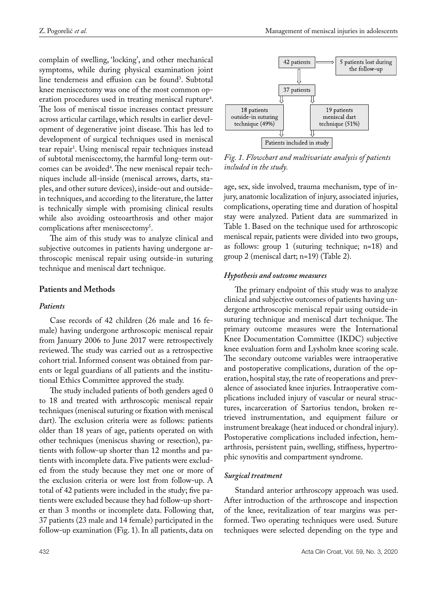complain of swelling, 'locking', and other mechanical symptoms, while during physical examination joint line tenderness and effusion can be found<sup>3</sup>. Subtotal knee meniscectomy was one of the most common operation procedures used in treating meniscal rupture<sup>4</sup>. The loss of meniscal tissue increases contact pressure across articular cartilage, which results in earlier development of degenerative joint disease. This has led to development of surgical techniques used in meniscal tear repair<sup>1</sup>. Using meniscal repair techniques instead of subtotal meniscectomy, the harmful long-term outcomes can be avoided4 . The new meniscal repair techniques include all-inside (meniscal arrows, darts, staples, and other suture devices), inside-out and outsidein techniques, and according to the literature, the latter is technically simple with promising clinical results while also avoiding osteoarthrosis and other major complications after meniscectomy<sup>5</sup>.

The aim of this study was to analyze clinical and subjective outcomes in patients having undergone arthroscopic meniscal repair using outside-in suturing technique and meniscal dart technique.

## **Patients and Methods**

#### *Patients*

Case records of 42 children (26 male and 16 female) having undergone arthroscopic meniscal repair from January 2006 to June 2017 were retrospectively reviewed. The study was carried out as a retrospective cohort trial. Informed consent was obtained from parents or legal guardians of all patients and the institutional Ethics Committee approved the study.

The study included patients of both genders aged 0 to 18 and treated with arthroscopic meniscal repair techniques (meniscal suturing or fixation with meniscal dart). The exclusion criteria were as follows: patients older than 18 years of age, patients operated on with other techniques (meniscus shaving or resection), patients with follow-up shorter than 12 months and patients with incomplete data. Five patients were excluded from the study because they met one or more of the exclusion criteria or were lost from follow-up. A total of 42 patients were included in the study; five patients were excluded because they had follow-up shorter than 3 months or incomplete data. Following that, 37 patients (23 male and 14 female) participated in the follow-up examination (Fig. 1). In all patients, data on



*Fig. 1. Flowchart and multivariate analysis of patients included in the study.*

age, sex, side involved, trauma mechanism, type of injury, anatomic localization of injury, associated injuries, complications, operating time and duration of hospital stay were analyzed. Patient data are summarized in Table 1. Based on the technique used for arthroscopic meniscal repair, patients were divided into two groups, as follows: group 1 (suturing technique; n=18) and group 2 (meniscal dart; n=19) (Table 2).

#### *Hypothesis and outcome measures*

The primary endpoint of this study was to analyze clinical and subjective outcomes of patients having undergone arthroscopic meniscal repair using outside-in suturing technique and meniscal dart technique. The primary outcome measures were the International Knee Documentation Committee (IKDC) subjective knee evaluation form and Lysholm knee scoring scale. The secondary outcome variables were intraoperative and postoperative complications, duration of the operation, hospital stay, the rate of reoperations and prevalence of associated knee injuries. Intraoperative complications included injury of vascular or neural structures, incarceration of Sartorius tendon, broken retrieved instrumentation, and equipment failure or instrument breakage (heat induced or chondral injury). Postoperative complications included infection, hemarthrosis, persistent pain, swelling, stiffness, hypertrophic synovitis and compartment syndrome.

## *Surgical treatment*

Standard anterior arthroscopy approach was used. After introduction of the arthroscope and inspection of the knee, revitalization of tear margins was performed. Two operating techniques were used. Suture techniques were selected depending on the type and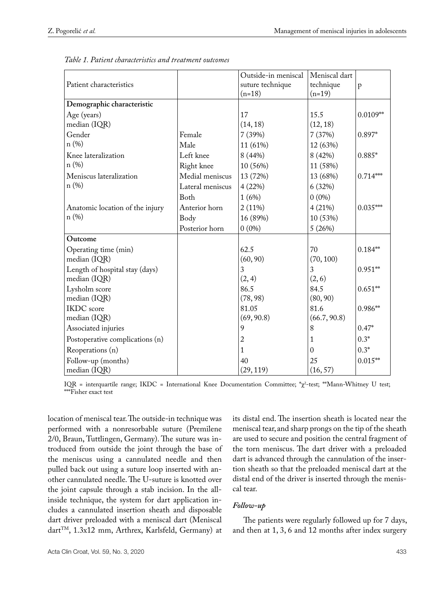|                                 |                  | Outside-in meniscal | Meniscal dart |            |
|---------------------------------|------------------|---------------------|---------------|------------|
| Patient characteristics         |                  | suture technique    | technique     | p          |
|                                 |                  | $(n=18)$            | $(n=19)$      |            |
| Demographic characteristic      |                  |                     |               |            |
| Age (years)                     |                  | 17                  | 15.5          | $0.0109**$ |
| median (IQR)                    |                  | (14, 18)            | (12, 18)      |            |
| Gender                          | Female           | 7(39%)              | 7(37%)        | 0.897*     |
| n(%)                            | Male             | 11 (61%)            | 12 (63%)      |            |
| Knee lateralization             | Left knee        | 8(44%)              | 8(42%)        | $0.885*$   |
| n(%)                            | Right knee       | 10 (56%)            | 11 (58%)      |            |
| Meniscus lateralization         | Medial meniscus  | 13 (72%)            | 13 (68%)      | $0.714***$ |
| n(%)                            | Lateral meniscus | 4(22%)              | 6(32%)        |            |
|                                 | <b>Both</b>      | 1(6%)               | $0(0\%)$      |            |
| Anatomic location of the injury | Anterior horn    | $2(11\%)$           | 4(21%)        | $0.035***$ |
| n(%)                            | Body             | 16 (89%)            | 10 (53%)      |            |
|                                 | Posterior horn   | $0(0\%)$            | 5(26%)        |            |
| Outcome                         |                  |                     |               |            |
| Operating time (min)            |                  | 62.5                | 70            | $0.184**$  |
| median (IQR)                    |                  | (60, 90)            | (70, 100)     |            |
| Length of hospital stay (days)  |                  | 3                   | 3             | $0.951**$  |
| median (IQR)                    |                  | (2, 4)              | (2, 6)        |            |
| Lysholm score                   |                  | 86.5                | 84.5          | $0.651**$  |
| median (IQR)                    |                  | (78, 98)            | (80, 90)      |            |
| <b>IKDC</b> score               |                  | 81.05               | 81.6          | $0.986**$  |
| median (IQR)                    |                  | (69, 90.8)          | (66.7, 90.8)  |            |
| Associated injuries             |                  | 9                   | 8             | $0.47*$    |
| Postoperative complications (n) |                  | $\overline{2}$      | 1             | $0.3*$     |
| Reoperations (n)                |                  | $\mathbf{1}$        | $\Omega$      | $0.3*$     |
| Follow-up (months)              |                  | 40                  | 25            | $0.015**$  |
| median (IQR)                    |                  | (29, 119)           | (16, 57)      |            |

*Table 1. Patient characteristics and treatment outcomes*

IQR = interquartile range; IKDC = International Knee Documentation Committee; \*χ<sup>2</sup> -test; \*\*Mann-Whitney U test; \*\*\*Fisher exact test

location of meniscal tear. The outside-in technique was performed with a nonresorbable suture (Premilene 2/0, Braun, Tuttlingen, Germany). The suture was introduced from outside the joint through the base of the meniscus using a cannulated needle and then pulled back out using a suture loop inserted with another cannulated needle. The U-suture is knotted over the joint capsule through a stab incision. In the allinside technique, the system for dart application includes a cannulated insertion sheath and disposable dart driver preloaded with a meniscal dart (Meniscal dart<sup>TM</sup>, 1.3x12 mm, Arthrex, Karlsfeld, Germany) at

its distal end. The insertion sheath is located near the meniscal tear, and sharp prongs on the tip of the sheath are used to secure and position the central fragment of the torn meniscus. The dart driver with a preloaded dart is advanced through the cannulation of the insertion sheath so that the preloaded meniscal dart at the distal end of the driver is inserted through the meniscal tear.

# *Follow-up*

The patients were regularly followed up for 7 days, and then at 1, 3, 6 and 12 months after index surgery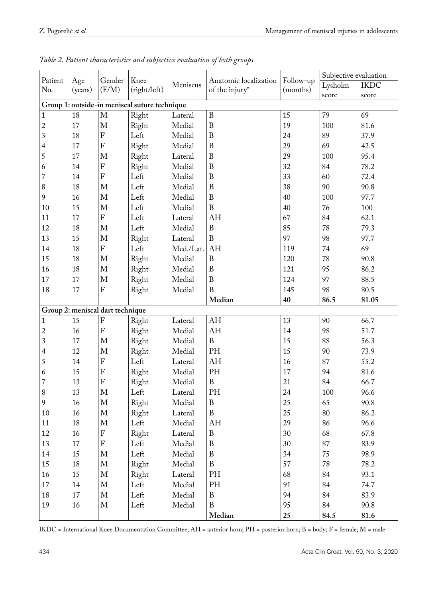|                                               |         |                                  |                      |                          |                       |                       | Subjective evaluation |             |
|-----------------------------------------------|---------|----------------------------------|----------------------|--------------------------|-----------------------|-----------------------|-----------------------|-------------|
| Patient<br>No.                                | Age     | Gender                           | Knee<br>(right/left) | Meniscus                 | Anatomic localization | Follow-up<br>(months) | Lysholm               | <b>IKDC</b> |
|                                               | (years) | (F/M)                            |                      |                          | of the injury*        |                       | score                 | score       |
| Group 1: outside-in meniscal suture technique |         |                                  |                      |                          |                       |                       |                       |             |
| $\mathbf{1}$                                  | 18      | $\mathbf M$                      | Right                | Lateral                  | $\, {\bf B}$          | 15                    | 79                    | 69          |
| $\overline{c}$                                | 17      | M                                | Right                | Medial                   | $\boldsymbol{B}$      | 19                    | 100                   | 81.6        |
| 3                                             | 18      | ${\bf F}$                        | Left                 | Medial                   | $\boldsymbol{B}$      | 24                    | 89                    | 37.9        |
| $\overline{4}$                                | 17      | ${\bf F}$                        | Right                | Medial                   | $\, {\bf B}$          | 29                    | 69                    | 42.5        |
| 5                                             | 17      | $\mathbf M$                      | Right                | Lateral                  | $\, {\bf B}$          | 29                    | 100                   | 95.4        |
| 6                                             | 14      | $\rm F$                          | Right                | Medial                   | $\, {\bf B}$          | 32                    | 84                    | 78.2        |
| $\overline{7}$                                | 14      | ${\bf F}$                        | Left                 | Medial                   | $\, {\bf B}$          | 33                    | 60                    | 72.4        |
| $\,8$                                         | 18      | $\mathbf M$                      | Left                 | Medial                   | $\, {\bf B}$          | 38                    | 90                    | 90.8        |
| 9                                             | 16      | $\mathbf M$                      | Left                 | Medial                   | $\, {\bf B}$          | 40                    | 100                   | 97.7        |
| 10                                            | 15      | $\mathbf M$                      | Left                 | Medial                   | $\boldsymbol{B}$      | 40                    | 76                    | 100         |
| 11                                            | 17      | ${\bf F}$                        | Left                 | Lateral                  | AH                    | 67                    | 84                    | 62.1        |
| 12                                            | 18      | $\mathbf M$                      | Left                 | Medial                   | $\, {\bf B}$          | 85                    | 78                    | 79.3        |
| 13                                            | 15      | $\mathbf M$                      | Right                | Lateral                  | $\mathbf B$           | 97                    | 98                    | 97.7        |
| 14                                            | 18      | ${\bf F}$                        | Left                 | Med./Lat. AH             |                       | 119                   | 74                    | 69          |
| 15                                            | 18      | $\mathbf{M}$                     | Right                | Medial                   | $\, {\bf B}$          | 120                   | 78                    | 90.8        |
| 16                                            | 18      | $\mathbf M$                      | Right                | Medial                   | $\, {\bf B}$          | 121                   | 95                    | 86.2        |
| $17\,$                                        | 17      | $\mathbf M$                      | Right                | Medial                   | $\, {\bf B}$          | 124                   | 97                    | 88.5        |
| 18                                            | 17      | ${\bf F}$                        | Right                | Medial                   | B                     | 145                   | 98                    | 80.5        |
|                                               |         |                                  |                      |                          | Median                | 40                    | 86.5                  | 81.05       |
|                                               |         | Group 2: meniscal dart technique |                      |                          |                       |                       |                       |             |
| $\mathbf 1$                                   | 15      | $\rm F$                          | Right                | Lateral                  | AH                    | 13                    | 90                    | 66.7        |
| $\overline{\mathbf{c}}$                       | 16      | $\rm F$                          | Right                | Medial                   | AH                    | 14                    | 98                    | 51.7        |
| $\overline{3}$                                | 17      | $\mathbf M$                      | Right                | Medial                   | $\boldsymbol{B}$      | 15                    | 88                    | 56.3        |
| $\overline{4}$                                | 12      | M                                | Right                | Medial                   | PH                    | 15                    | 90                    | 73.9        |
| 5                                             | 14      | ${\bf F}$                        | Left                 | Lateral                  | AH                    | 16                    | 87                    | 55.2        |
| 6                                             | 15      | $\mathbf F$                      | Right                | Medial                   | PH                    | 17                    | 94                    | 81.6        |
| $\overline{7}$                                | 13      | $\rm F$                          | Right                | Medial                   | $\, {\bf B}$          | 21                    | 84                    | 66.7        |
| $8\,$                                         | 13      | M                                | Left                 | Lateral                  | PH                    | 24                    | 100                   | 96.6        |
| 9                                             | 16      | M                                | Right                | Medial                   | $\bf{B}$              | 25                    | 65                    | 90.8        |
| $10\,$                                        | 16      | $\mathbf M$                      | Right                | $\operatorname{Lateral}$ | $\, {\bf B}$          | 25                    | 80                    | 86.2        |
| 11                                            | 18      | M                                | Left                 | Medial                   | AH                    | 29                    | 86                    | 96.6        |
| 12                                            | 16      | ${\bf F}$                        | Right                | Lateral                  | B                     | 30                    | 68                    | 67.8        |
| 13                                            | 17      | ${\bf F}$                        | Left                 | Medial                   | $\, {\bf B}$          | 30                    | 87                    | 83.9        |
| $14\,$                                        | 15      | $\mathbf M$                      | Left                 | Medial                   | $\, {\bf B}$          | 34                    | 75                    | 98.9        |
| $15\,$                                        | 18      | $\mathbf M$                      | Right                | Medial                   | $\, {\bf B}$          | 57                    | $78\,$                | 78.2        |
| 16                                            | 15      | M                                | Right                | Lateral                  | $\rm PH$              | 68                    | 84                    | 93.1        |
| 17                                            | 14      | M                                | Left                 | Medial                   | PH                    | 91                    | 84                    | 74.7        |
| 18                                            | 17      | $\mathbf M$                      | Left                 | Medial                   | $\, {\bf B}$          | 94                    | 84                    | 83.9        |
| 19                                            | 16      | $\mathbf M$                      | Left                 | Medial                   | $\, {\bf B}$          | 95                    | 84                    | 90.8        |
|                                               |         |                                  |                      |                          | Median                | 25                    | 84.5                  | 81.6        |

*Table 2. Patient characteristics and subjective evaluation of both groups*

IKDC = International Knee Documentation Committee; AH = anterior horn; PH = posterior horn; B = body; F = female; M = male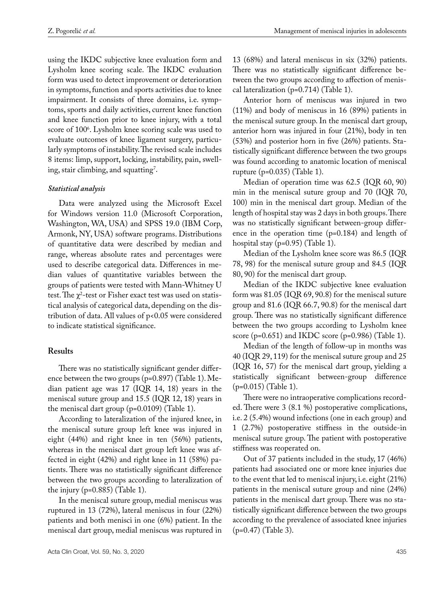using the IKDC subjective knee evaluation form and Lysholm knee scoring scale. The IKDC evaluation form was used to detect improvement or deterioration in symptoms, function and sports activities due to knee impairment. It consists of three domains, i.e. symptoms, sports and daily activities, current knee function and knee function prior to knee injury, with a total score of 100<sup>6</sup>. Lysholm knee scoring scale was used to evaluate outcomes of knee ligament surgery, particularly symptoms of instability. The revised scale includes 8 items: limp, support, locking, instability, pain, swell- $\log$ , stair climbing, and squatting<sup>7</sup>.

# *Statistical analysis*

Data were analyzed using the Microsoft Excel for Windows version 11.0 (Microsoft Corporation, Washington, WA, USA) and SPSS 19.0 (IBM Corp, Armonk, NY, USA) software programs. Distributions of quantitative data were described by median and range, whereas absolute rates and percentages were used to describe categorical data. Differences in median values of quantitative variables between the groups of patients were tested with Mann-Whitney U test. The  $\chi^2$ -test or Fisher exact test was used on statistical analysis of categorical data, depending on the distribution of data. All values of p<0.05 were considered to indicate statistical significance.

# **Results**

There was no statistically significant gender difference between the two groups (p=0.897) (Table 1). Median patient age was 17 (IQR 14, 18) years in the meniscal suture group and 15.5 (IQR 12, 18) years in the meniscal dart group (p=0.0109) (Table 1).

According to lateralization of the injured knee, in the meniscal suture group left knee was injured in eight (44%) and right knee in ten (56%) patients, whereas in the meniscal dart group left knee was affected in eight (42%) and right knee in 11 (58%) patients. There was no statistically significant difference between the two groups according to lateralization of the injury ( $p=0.885$ ) (Table 1).

In the meniscal suture group, medial meniscus was ruptured in 13 (72%), lateral meniscus in four (22%) patients and both menisci in one (6%) patient. In the meniscal dart group, medial meniscus was ruptured in

13 (68%) and lateral meniscus in six (32%) patients. There was no statistically significant difference between the two groups according to affection of meniscal lateralization (p=0.714) (Table 1).

Anterior horn of meniscus was injured in two (11%) and body of meniscus in 16 (89%) patients in the meniscal suture group. In the meniscal dart group, anterior horn was injured in four (21%), body in ten (53%) and posterior horn in five (26%) patients. Statistically significant difference between the two groups was found according to anatomic location of meniscal rupture (p=0.035) (Table 1).

Median of operation time was 62.5 (IQR 60, 90) min in the meniscal suture group and 70 (IQR 70, 100) min in the meniscal dart group. Median of the length of hospital stay was 2 days in both groups. There was no statistically significant between-group difference in the operation time (p=0.184) and length of hospital stay (p=0.95) (Table 1).

Median of the Lysholm knee score was 86.5 (IQR 78, 98) for the meniscal suture group and 84.5 (IQR 80, 90) for the meniscal dart group.

Median of the IKDC subjective knee evaluation form was 81.05 (IQR 69, 90.8) for the meniscal suture group and 81.6 (IQR 66.7, 90.8) for the meniscal dart group. There was no statistically significant difference between the two groups according to Lysholm knee score ( $p=0.651$ ) and IKDC score ( $p=0.986$ ) (Table 1).

Median of the length of follow-up in months was 40 (IQR 29, 119) for the meniscal suture group and 25 (IQR 16, 57) for the meniscal dart group, yielding a statistically significant between-group difference (p=0.015) (Table 1).

There were no intraoperative complications recorded. There were 3 (8.1 %) postoperative complications, i.e. 2 (5.4%) wound infections (one in each group) and 1 (2.7%) postoperative stiffness in the outside-in meniscal suture group. The patient with postoperative stiffness was reoperated on.

Out of 37 patients included in the study, 17 (46%) patients had associated one or more knee injuries due to the event that led to meniscal injury, i.e. eight (21%) patients in the meniscal suture group and nine (24%) patients in the meniscal dart group. There was no statistically significant difference between the two groups according to the prevalence of associated knee injuries (p=0.47) (Table 3).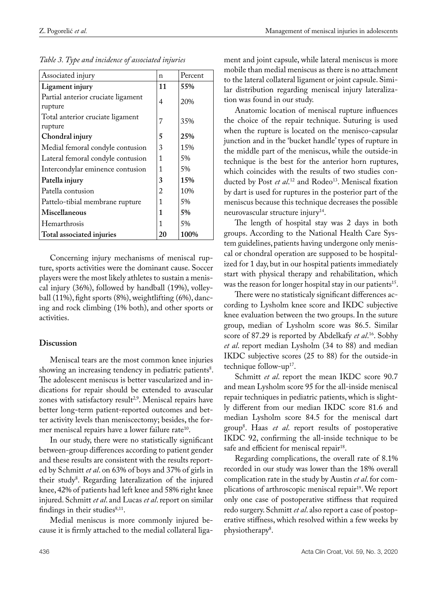| Associated injury                             | n  | Percent |
|-----------------------------------------------|----|---------|
| Ligament injury                               | 11 | 55%     |
| Partial anterior cruciate ligament<br>rupture | 4  | 20%     |
| Total anterior cruciate ligament<br>rupture   | 7  | 35%     |
| Chondral injury                               | 5  | 25%     |
| Medial femoral condyle contusion              | 3  | 15%     |
| Lateral femoral condyle contusion             | 1  | 5%      |
| Intercondylar eminence contusion              | 1  | 5%      |
| Patella injury                                | 3  | 15%     |
| Patella contusion                             | 2  | 10%     |
| Pattelo-tibial membrane rupture               | 1  | 5%      |
| Miscellaneous                                 | 1  | 5%      |
| Hemarthrosis                                  | 1  | 5%      |
| Total associated injuries                     | 20 | 100%    |

*Table 3. Type and incidence of associated injuries*

Concerning injury mechanisms of meniscal rupture, sports activities were the dominant cause. Soccer players were the most likely athletes to sustain a meniscal injury (36%), followed by handball (19%), volleyball (11%), fight sports (8%), weightlifting (6%), dancing and rock climbing (1% both), and other sports or activities.

## **Discussion**

Meniscal tears are the most common knee injuries showing an increasing tendency in pediatric patients<sup>8</sup>. The adolescent meniscus is better vascularized and indications for repair should be extended to avascular zones with satisfactory result<sup>2,9</sup>. Meniscal repairs have better long-term patient-reported outcomes and better activity levels than meniscectomy; besides, the former meniscal repairs have a lower failure rate<sup>10</sup>.

In our study, there were no statistically significant between-group differences according to patient gender and these results are consistent with the results reported by Schmitt *et al*. on 63% of boys and 37% of girls in their study8 . Regarding lateralization of the injured knee, 42% of patients had left knee and 58% right knee injured. Schmitt *et al*. and Lucas *et al*. report on similar findings in their studies $8,11$ .

Medial meniscus is more commonly injured because it is firmly attached to the medial collateral ligament and joint capsule, while lateral meniscus is more mobile than medial meniscus as there is no attachment to the lateral collateral ligament or joint capsule. Similar distribution regarding meniscal injury lateralization was found in our study.

Anatomic location of meniscal rupture influences the choice of the repair technique. Suturing is used when the rupture is located on the menisco-capsular junction and in the 'bucket handle' types of rupture in the middle part of the meniscus, while the outside-in technique is the best for the anterior horn ruptures, which coincides with the results of two studies conducted by Post *et al*.<sup>12</sup> and Rodeo<sup>13</sup>. Meniscal fixation by dart is used for ruptures in the posterior part of the meniscus because this technique decreases the possible neurovascular structure injury<sup>14</sup>.

The length of hospital stay was 2 days in both groups. According to the National Health Care System guidelines, patients having undergone only meniscal or chondral operation are supposed to be hospitalized for 1 day, but in our hospital patients immediately start with physical therapy and rehabilitation, which was the reason for longer hospital stay in our patients<sup>15</sup>.

There were no statisticaly significant differences according to Lysholm knee score and IKDC subjective knee evaluation between the two groups. In the suture group, median of Lysholm score was 86.5. Similar score of 87.29 is reported by Abdelkafy *et al*. 16. Sobhy *et al*. report median Lysholm (34 to 88) and median IKDC subjective scores (25 to 88) for the outside-in technique follow-up<sup>17</sup>.

Schmitt *et al*. report the mean IKDC score 90.7 and mean Lysholm score 95 for the all-inside meniscal repair techniques in pediatric patients, which is slightly different from our median IKDC score 81.6 and median Lysholm score 84.5 for the meniscal dart group8 . Haas *et al*. report results of postoperative IKDC 92, confirming the all-inside technique to be safe and efficient for meniscal repair<sup>18</sup>.

Regarding complications, the overall rate of 8.1% recorded in our study was lower than the 18% overall complication rate in the study by Austin *et al*. for complications of arthroscopic meniscal repair<sup>19</sup>. We report only one case of postoperative stiffness that required redo surgery. Schmitt *et al*. also report a case of postoperative stiffness, which resolved within a few weeks by physiotherapy<sup>8</sup>.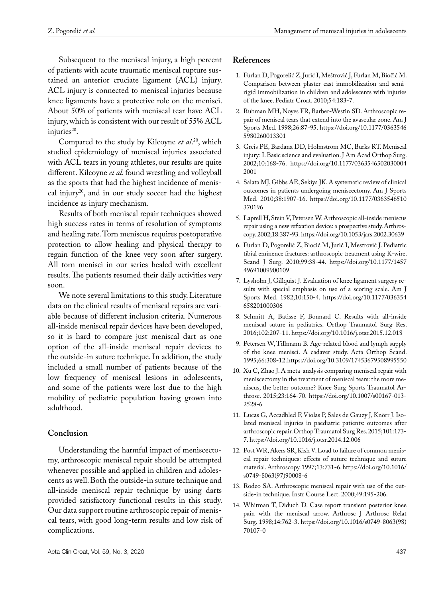Subsequent to the meniscal injury, a high percent of patients with acute traumatic meniscal rupture sustained an anterior cruciate ligament (ACL) injury. ACL injury is connected to meniscal injuries because knee ligaments have a protective role on the menisci. About 50% of patients with meniscal tear have ACL injury, which is consistent with our result of 55% ACL injuries<sup>20</sup>.

Compared to the study by Kilcoyne *et al*. 20, which studied epidemiology of meniscal injuries associated with ACL tears in young athletes, our results are quite different. Kilcoyne *et al*. found wrestling and volleyball as the sports that had the highest incidence of meniscal injury<sup>20</sup>, and in our study soccer had the highest incidence as injury mechanism.

Results of both meniscal repair techniques showed high success rates in terms of resolution of symptoms and healing rate. Torn meniscus requires postoperative protection to allow healing and physical therapy to regain function of the knee very soon after surgery. All torn menisci in our series healed with excellent results. The patients resumed their daily activities very soon.

We note several limitations to this study. Literature data on the clinical results of meniscal repairs are variable because of different inclusion criteria. Numerous all-inside meniscal repair devices have been developed, so it is hard to compare just meniscal dart as one option of the all-inside meniscal repair devices to the outside-in suture technique. In addition, the study included a small number of patients because of the low frequency of meniscal lesions in adolescents, and some of the patients were lost due to the high mobility of pediatric population having grown into adulthood.

# **Conclusion**

Understanding the harmful impact of meniscectomy, arthroscopic meniscal repair should be attempted whenever possible and applied in children and adolescents as well. Both the outside-in suture technique and all-inside meniscal repair technique by using darts provided satisfactory functional results in this study. Our data support routine arthroscopic repair of meniscal tears, with good long-term results and low risk of complications.

#### **References**

- 1. Furlan D, Pogorelić Z, Jurić I, Meštrović J, Furlan M, Biočić M. Comparison between plaster cast immobilization and semirigid immobilization in children and adolescents with injuries of the knee. Pediatr Croat. 2010;54:183-7.
- 2. Rubman MH, Noyes FR, Barber-Westin SD. Arthroscopic repair of meniscal tears that extend into the avascular zone. Am J Sports Med. 1998;26:87-95. https://doi.org/10.1177/0363546 5980260013301
- 3. Greis PE, Bardana DD, Holmstrom MC, Burks RT. Meniscal injury: I. Basic science and evaluation. J Am Acad Orthop Surg. 2002;10:168-76. https://doi.org/10.1177/0363546502030004 2001
- 4. Salata MJ, Gibbs AE, Sekiya JK. A systematic review of clinical outcomes in patients undergoing meniscectomy. Am J Sports Med. 2010;38:1907-16. https://doi.org/10.1177/0363546510 370196
- 5. Laprell H, Stein V, Petersen W. Arthroscopic all-inside meniscus repair using a new refixation device: a prospective study. Arthroscopy. 2002;18:387-93. https://doi.org/10.1053/jars.2002.30639
- 6. Furlan D, Pogorelić Z, Biocić M, Jurić I, Mestrović J. Pediatric tibial eminence fractures: arthroscopic treatment using K-wire. Scand J Surg. 2010;99:38-44. https://doi.org/10.1177/1457 49691009900109
- 7. Lysholm J, Gillquist J. Evaluation of knee ligament surgery results with special emphasis on use of a scoring scale. Am J Sports Med. 1982;10:150-4. https://doi.org/10.1177/036354 658201000306
- 8. Schmitt A, Batisse F, Bonnard C. Results with all-inside meniscal suture in pediatrics. Orthop Traumatol Surg Res. 2016;102:207-11. https://doi.org/10.1016/j.otsr.2015.12.018
- 9. Petersen W, Tillmann B. Age-related blood and lymph supply of the knee menisci. A cadaver study. Acta Orthop Scand. 1995;66:308-12. https://doi.org/10.3109/17453679508995550
- 10. Xu C, Zhao J. A meta-analysis comparing meniscal repair with meniscectomy in the treatment of meniscal tears: the more meniscus, the better outcome? Knee Surg Sports Traumatol Arthrosc. 2015;23:164-70. https://doi.org/10.1007/s00167-013- 2528-6
- 11. Lucas G, Accadbled F, Violas P, Sales de Gauzy J, Knörr J. Isolated meniscal injuries in paediatric patients: outcomes after arthroscopic repair. Orthop Traumatol Surg Res. 2015;101:173- 7. https://doi.org/10.1016/j.otsr.2014.12.006
- 12. Post WR, Akers SR, Kish V. Load to failure of common meniscal repair techniques: effects of suture technique and suture material. Arthroscopy. 1997;13:731-6. https://doi.org/10.1016/ s0749-8063(97)90008-6
- 13. Rodeo SA. Arthroscopic meniscal repair with use of the outside-in technique. Instr Course Lect. 2000;49:195-206.
- 14. Whitman T, Diduch D. Case report transient posterior knee pain with the meniscal arrow. Arthrosc J Arthrosc Relat Surg. 1998;14:762-3. https://doi.org/10.1016/s0749-8063(98) 70107-0